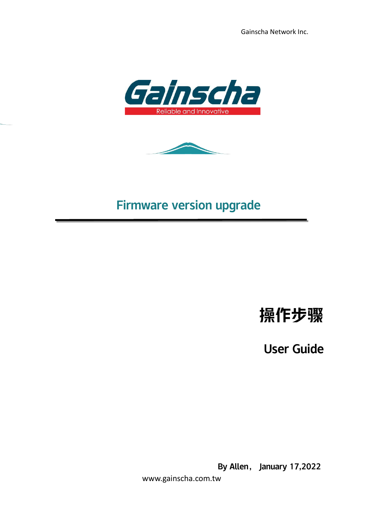Gainscha Network Inc.





## Firmware version upgrade

# 操作步骤

User Guide

By Allen, January 17,2022

www.gainscha.com.tw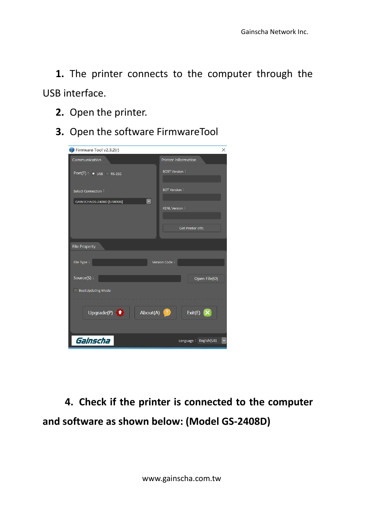**1.** The printer connects to the computer through the USB interface.

- **2.** Open the printer.
- **3.** Open the software FirmwareTool

| Firmware Tool v2.3.2(r)                   | $\times$                   |
|-------------------------------------------|----------------------------|
| Communication                             | <b>Printer Information</b> |
| $Port(T):$ USB RS-232                     | <b>BOST Version:</b>       |
| Select Connection:                        | <b>BOT Version:</b>        |
| $\checkmark$<br>GAINSCHAGS-2408D [USB006] |                            |
|                                           | <b>KENL Version:</b>       |
|                                           |                            |
|                                           | Get Printer Info.          |
| <b>File Property</b>                      |                            |
|                                           |                            |
| File Type:                                | Version Code:              |
| Source(S):                                | Open File(O)               |
| BootUpdating Mode                         |                            |
|                                           |                            |
| Upgrade(P) $\uparrow$<br>About(A)         | Exit(E) $\mathsf{X}$<br>-7 |
| Gainscha                                  | Language : English(US)     |

**4. Check if the printer is connected to the computer and software as shown below: (Model GS-2408D)**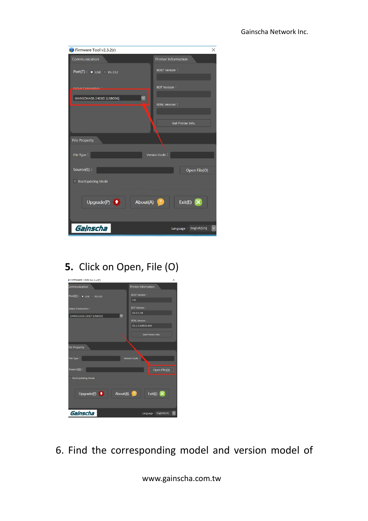| Firmware Tool v2.3.2(r)          | $\times$                           |
|----------------------------------|------------------------------------|
| Communication                    | Printer Information                |
| $Port(T):$ $\bullet$ USB RS-232  | <b>BOST Version:</b>               |
| Colont Connection                | <b>BOT Version:</b>                |
| GAINSCHAGS-2408D [USB006]        | <b>KENL Version:</b>               |
|                                  | Get Printer Info.                  |
| <b>File Property</b>             |                                    |
|                                  |                                    |
| File Type:                       | Version Code:                      |
|                                  |                                    |
| Source(S):                       | Open File(O)                       |
| BootUpdating Mode<br>u l         |                                    |
|                                  |                                    |
| Upgrade(P) $\bullet$<br>About(A) | Exit(E) $\mathsf{X}$<br>$^{\circ}$ |
| Gainscha                         | Language : English(US)             |

#### **5.** Click on Open, File (O)

| Firmware Tool VZ.3.Z(r)                      | Х                                                     |  |
|----------------------------------------------|-------------------------------------------------------|--|
| Communication                                | <b>Printer Information</b>                            |  |
| $Port(\underline{T})$ : $\bullet$ USB RS-232 | <b>BOST Version:</b>                                  |  |
|                                              | 1.0                                                   |  |
| Select Connection:                           | <b>BOT Version:</b>                                   |  |
| GAINSCHAGS-2406T [USB003]                    | G1.0.1.14<br>$\ddot{\phantom{1}}$                     |  |
|                                              | <b>KENL Version:</b>                                  |  |
|                                              | G1.1.3.63R20-BAS                                      |  |
|                                              | Get Printer Info.                                     |  |
|                                              |                                                       |  |
| File Property                                |                                                       |  |
|                                              |                                                       |  |
| File Type:                                   | Version Code                                          |  |
|                                              |                                                       |  |
| Source $(S)$ :                               | Open File(Q)                                          |  |
| <b>BootUpdating Mode</b>                     |                                                       |  |
|                                              |                                                       |  |
| Upgrade $(p)$ $\uparrow$                     | Exit(E) $\mathsf{X}$<br>$About(\underline{A})$<br>(7) |  |
|                                              |                                                       |  |
|                                              |                                                       |  |
| Gainscha                                     | Language : English(US)                                |  |

6. Find the corresponding model and version model of

www.gainscha.com.tw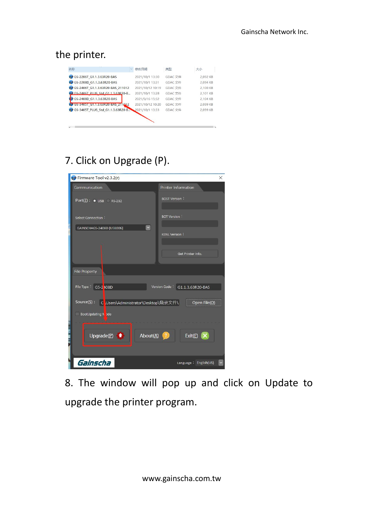#### the printer.

| 名称                                  | 修改日期             | 类型      | 大小       |
|-------------------------------------|------------------|---------|----------|
| CS-2206T G1.1.3.63R20-BAS           | 2021/10/1 13:30  | GDAC 文件 | 2.092 KB |
| (■ GS-2208D G1.1.3.63R20-BAS        | 2021/10/1 13:31  | GDAC 文件 | 2.094 KB |
| GS-2406T G1.1.3.63R20-BAS 211012    | 2021/10/12 10:19 | GDAC 文件 | 2,100 KB |
| CS-2406T PLUS Std G1.1.3.63R20-B    | 2021/10/1 13:28  | GDAC 文件 | 2.101 KB |
| GS-2408D G1.1.3.63R20-BAS           | 2021/9/16 15:32  | GDAC 文件 | 2.104 KB |
| CD GS-3405T G1.1.3.63R20-BAS 211012 | 2021/10/12 10:20 | GDAC 文件 | 2.099 KB |
| (9 GS-3405T PLUS Std G1.1.3.63R20-B | 2021/10/1 13:33  | GDAC 文件 | 2.099 KB |

### 7. Click on Upgrade (P).

| Firmware Tool v2.3.2(r)                        | $\times$                       |
|------------------------------------------------|--------------------------------|
| Communication                                  | <b>Printer Information</b>     |
| $Port(\mathbf{I})$ : $\bullet$ USB RS-232      | <b>BOST Version:</b>           |
| Select Connection:                             | <b>BOT Version:</b>            |
| $\checkmark$<br>GAINSCHAGS-2408D [USB006]      | <b>KENL Version:</b>           |
|                                                | Get Printer Info.              |
| <b>File Property</b>                           |                                |
| File Type: GS-2 408D                           | Version Code: G1.1.3.63R20-BAS |
| Source(S): Cousers\Administrator\Desktop\烧录文件\ | Open File(O)                   |
| BootUpdating Node                              |                                |
| Upgrade(P)<br>About(A)                         | Exit(E) $\times$               |
| Gainscha                                       | Language: English(US)          |

8. The window will pop up and click on Update to upgrade the printer program.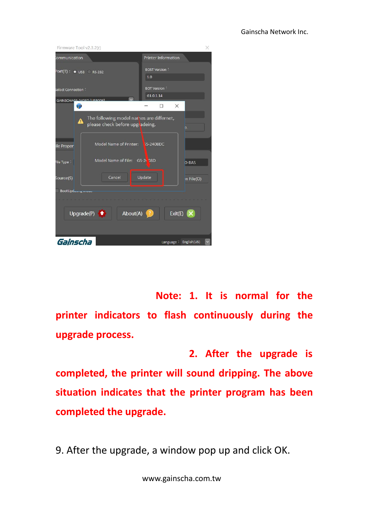| Firmware Tool v2.3.2(r)                       |                                                                                                       |                                           | ×            |
|-----------------------------------------------|-------------------------------------------------------------------------------------------------------|-------------------------------------------|--------------|
| iommunication                                 |                                                                                                       | <b>Printer Information</b>                |              |
| $Port(T):$ $\bullet$ USB RS-232               |                                                                                                       | <b>BOST Version:</b><br>1.0               |              |
| Select Connection:                            |                                                                                                       | <b>BOT Version:</b><br>G1.0.1.14          |              |
| GAINSCHAGS 2408D [LISROOG]<br>傳               |                                                                                                       | $\times$<br>п                             |              |
| ◢<br>ile Proper                               | The following model names are differnet,<br>please check before upgradeing.<br>Model Name of Printer: | <b>SS-2408DC</b>                          | D.           |
| File Type:                                    | Model Name of File: GS-24 98D                                                                         |                                           | <b>D-BAS</b> |
| Source(S)                                     | Cancel                                                                                                | Update                                    | in File(O)   |
| BootUpduring ividual<br>Upgrade(P) $\uparrow$ | About(A)                                                                                              | Exit(E) $\mathsf{X}$<br>$\left( 7\right)$ |              |
| Gainscha                                      |                                                                                                       | Language : English(US)                    |              |

**Note: 1. It is normal for the printer indicators to flash continuously during the upgrade process.**

**2. After the upgrade is completed, the printer will sound dripping. The above situation indicates that the printer program has been completed the upgrade.**

9. After the upgrade, a window pop up and click OK.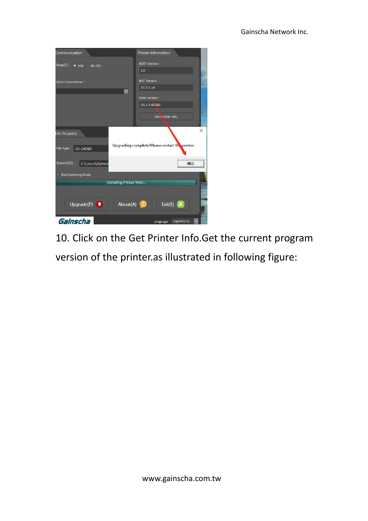| Communication                                  |                       | Printer Information                            |          |
|------------------------------------------------|-----------------------|------------------------------------------------|----------|
| $Port(I):$ $\bullet$ USB RS-232                |                       | <b>BOST Version:</b><br>1.0                    |          |
| Select Connection:                             |                       | <b>BOT Version:</b><br>G1.0.1.14               |          |
|                                                | $\checkmark$          | <b>KENL Version:</b>                           |          |
|                                                |                       | G1.1.3.60R30                                   |          |
|                                                |                       | Get I rinter Info.                             |          |
| <b>File Property</b><br>File Type:<br>GS-2408D |                       | Upgrading complete!Please restart the printer. | $\times$ |
| Source(S):<br>C:\Users\Admini                  |                       |                                                | 确定       |
| BootUpdating Mode                              |                       |                                                |          |
|                                                | Uprading, Please Wait |                                                |          |
| Upgrade(P) $\uparrow$                          | About(A)              | Exit(E)                                        |          |
| Gainscha                                       |                       | Language : English(US)                         |          |

10. Click on the Get Printer Info.Get the current program version of the printer.as illustrated in following figure: